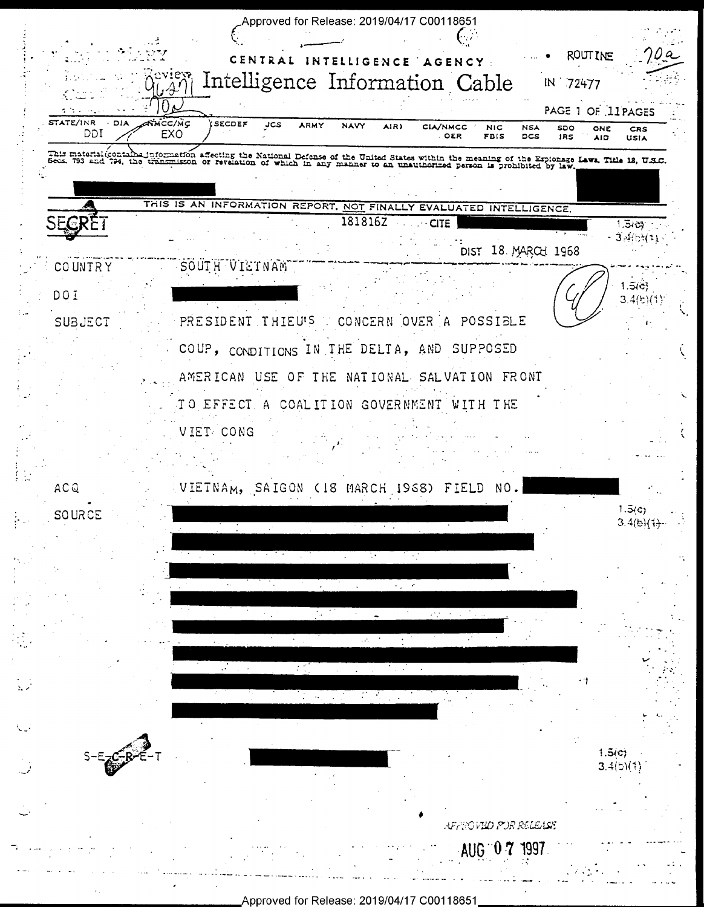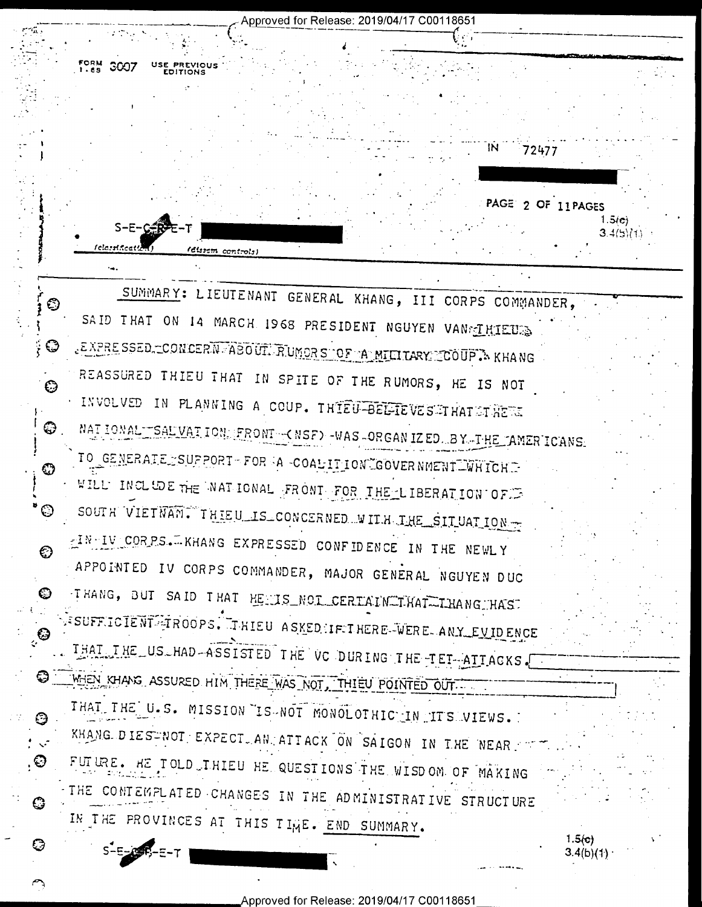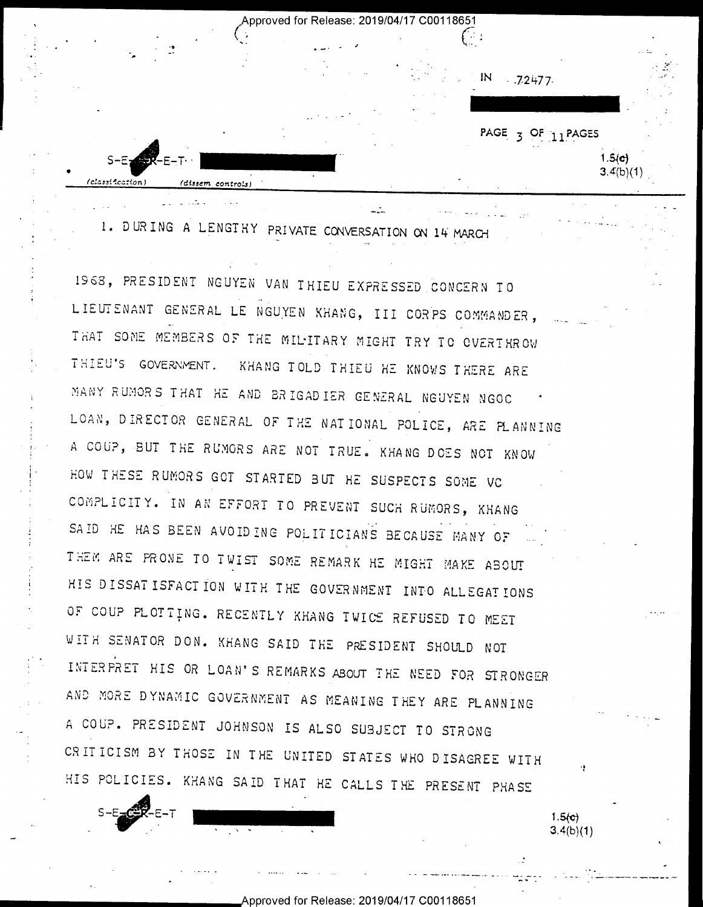Approved for Release: 2019/04/17 C00118651 n and a strong control of the strong strong control of the strong strong control of the strong strong strong strong strong strong strong strong strong strong strong strong strong strong strong strong strong strong strong s '  $IN$  ... 7.2477. PAGE 3 OF 11PAGES  $=$ --  $1.5(c)$ S-E-T" - "Second and "Second and "Second and "Second and "Second and "Second and "Second and "Second and "Second and "Second and "Second and "Second and "Second and "Second and "Second and "Second and "Second and "Second a  $3.4(b)(1)$  $\mathbf{Q} = \mathbf{Q} \mathbf{Q}$  . The contract of  $\mathbf{Q}$  is a set of  $\mathbf{Q}$ lclcaxification) . /dissem controls) ' -

1. DURING A LENGTHY PRIVATE CONVERSATION ON 14 MARCH

1968, PRESIDENT NGUYEN VAN THIEU EXPRESSED CONCERN TO LIEUTENANT GENERAL LE NGUYEN KHANG, III CORPS COMMANDER, THAT SOME MEMBERS OF THE MILITARY MIGHT TRY TO OVERTHROW THIEU'S GOVEQNENT. KHANG TOLD THIEU HE KNOWS THERE ARE MANY RUMORS THAT HE AND BRIGADIER GENERAL NGUYEN NGOC LOAN, DIRECTOR GENERAL OP THE NATIONAL POLICE, ARE H\_ANNING <sup>~</sup>A COUP, BUT THE RUMORS ARE NOT TRUE. KHANG DOES NOT KNOW HOW THESE RUMORS GOT STARTED BUT HE SUSPECTS SOME VC CONPLICITY. IN AN EFFORT TO PREVENT SUCH RUNORS, KHANG SAID HE HAS BEEN AVOIDING POLITICIANS BECAUSE MANY OF THEM ARE PRONE TO TWIST SOME REMARK HE MIGHT MAKE ABOUT <sup>l</sup>HIS DISSATISFACTION WITH THE GOVERNMENT INTO ALLEGATIONS OF COUP PLOTTING. RECENTLY KHANG TWICE REFUSED TO MEET NITH SENATOR DON. KHANG SAID THE PRESIDENT SHOULD NOT INTERPRET HIS OR LOAN'S REMARKS ABOUT THE NEED FOR STRONGER AND MORE DYNAMIC GOVERNMENT AS MEANING THEY ARE PLANNING A COUP. PRESIDENT JOHNSON IS ALSO SUBJECT TO STRONG CRITICISM BY THOSE IN THE UNITED STATES WHO DISAGREE WITH HIS POLICIES. KHANG SAID THAT HE CALLS THE PRESENT PHASE

 $\bullet$ 

 $S-E-CF-E-T$  **. See ...**  $1.5(c)$ <br>3.4(b)(1) ...

.\_ ~ .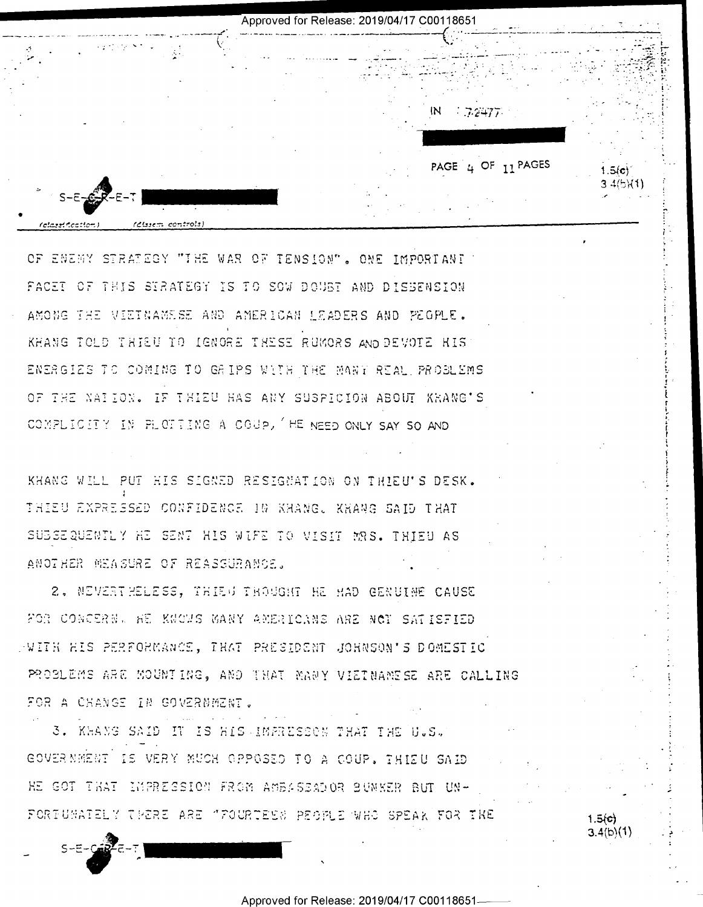Approved for Release: 2019/04/17 C00118651  $7.2477$ PAGE 4 OF  $11$  PAGES  $1.5(c)$ 3 4(5)(1)

OF ENEMY STRATEGY "THE WAR OF TENSION". ONE IMPORTANT FACET OF THIS STRATEGY IS TO SOW DOUBT AND DISBENSION AMONG THE VIETNAMESE AND AMERICAN LEADERS AND PEGPLE. KHANG TOLD THIEU TO IGNORE THESE RUMORS AND DEVOTE HIS ENERGIES TO COMING TO GRIPS WITH THE MANY REAL PROBLEMS OF THE NAILON. IF THIEU HAS ANY SUSPICION ABOUT KRANG'S COMPLICITY IN PLOTING A COUP, HE NEED ONLY SAY SO AND

KHANG WILL PUT HIS SIGNED RESIGNATION ON THIELL'S DESK. THIEU EXPRESSED CONFIDENCE 10 KHANG. KHANG SAID THAT SUBSEQUENTLY HE SENT HIS WIFE TO VISIT MRS. THIEU AS ANOTHER MEASURE OF REASSURANCE.

2. NEVERT HELESS, THIEN TROUGHT HE HAD GENUINE CAUSE FOR CONCERN. HE KNOWS WANY AMERICANS ARE NOT SATISFIED PAITH HIS PERFORMANCE, THAT PRESIDENT JOHNSON'S DOMESTIC PROBLEMS ARE MOUNTING, AND THAT MANY VIETNAMESE ARE CALLING FOR A CHANGE IN GOVERNMENT.

3. KHANG SAID IT IS HIS IMPRESSON THAT THE U.S. GOVERNMENT IS VERY MUCH OPPOSED TO A COUP. THIEU SAID HE GOT THAT IMPRESSION FROM AMBASSADOR BUNKER BUT UN-FORTUNATELY THERE ARE "FOURTEEN PEOPLE WHO SPEAK FOR THE

 $1.5(c)$  $3.4(b)(1)$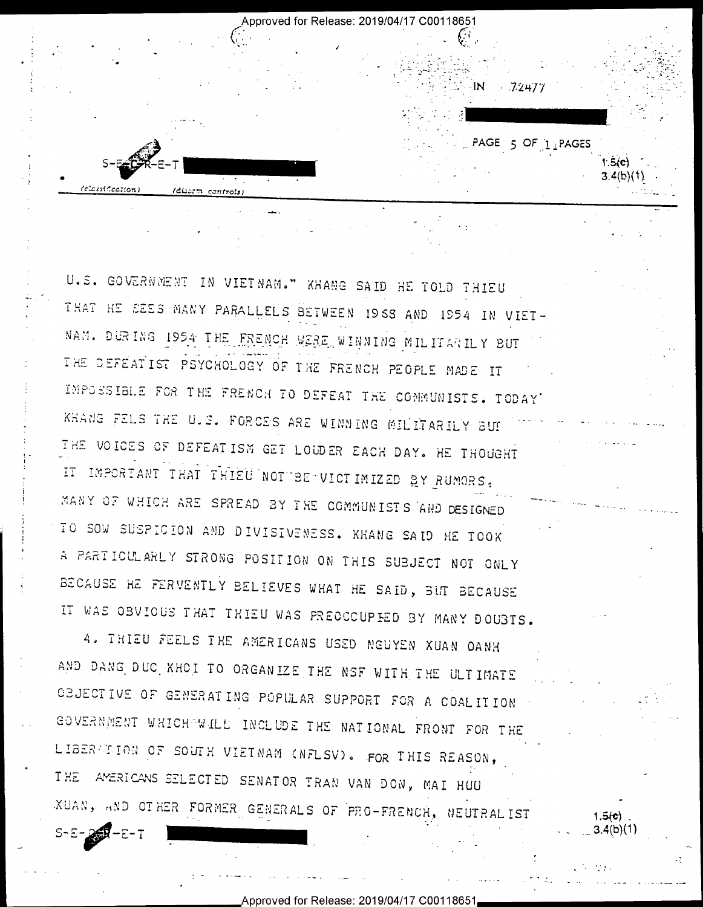Approved for Release: 2019/04/17 C00118651

- 72477

PAGE 5 OF 1 PAGES

 $3.4(b)(1)$ 

 $1.5(c)$ 3.4(b)(1)

<u>Leicherte paran</u> rdi:

U.S. GOVERNMENT IN VIETNAM." KHANG SAID HE TOLD THIEU THAT HE SEES MANY PARALLELS BETWEEN 1968 AND 1954 IN VIET-NAM. DURING 1954 THE FRENCH WERE WINNING MILITARILY BUT THE DEFEATIST PSYCHOLOGY OF THE FRENCH PEOPLE MADE IT IMPOSSIBLE FOR THE FRENCH TO DEFEAT THE COMMUNISTS. TODAY KHANG FELS THE U.S. FORCES ARE WINNING MILITARILY BUT THE VOICES OF DEFEATISM GET LOUDER EACH DAY. HE THOUGHT IT IMPORTANT THAT THIEU NOT BE VICTIMIZED BY RUMORS, MANY OF WHICH ARE SPREAD BY THE COMMUNISTS AND DESIGNED TO SOW SUSPICION AND DIVISIVENESS. KHANG SAID HE TOOK A PARTICULARLY STRONG POSITION ON THIS SUBJECT NOT ONLY BECAUSE HE FERVENTLY BELIEVES WHAT HE SAID, BUT BECAUSE IT WAS OBVIOUS THAT THIEU WAS PREOCCUPED BY MANY DOUBTS.

4. THIEU FEELS THE AMERICANS USED NEUYEN XUAN OANH AND DANG DUC KHOI TO ORGANIZE THE NSF WITH THE ULTIMATE CEJECTIVE OF GENERATING POPULAR SUPPORT FOR A COALITION GOVERNMENT WHICH WILL INCLUDE THE NATIONAL FRONT FOR THE LIBERGTION OF SOUTH VIETNAM (NFLSV). FOR THIS REASON, THE AMERICANS SELECTED SENATOR TRAN VAN DON, MAI HUU XUAN, AND OTHER FORMER GENERALS OF PRO-FRENCH, NEUTRALIST

 $S - E - 29 - E - T$ 

Approved for Release: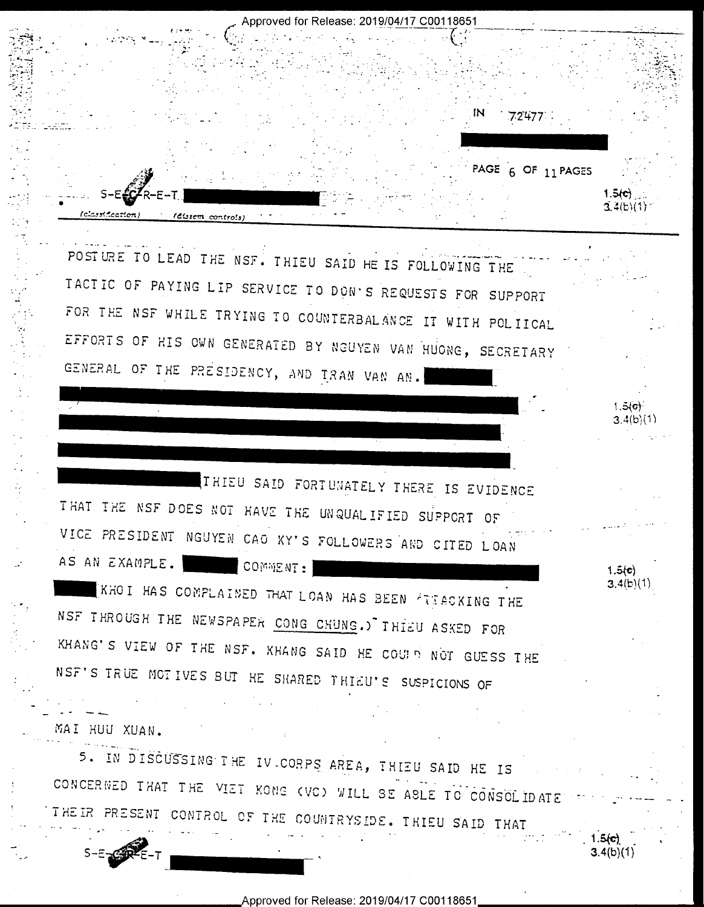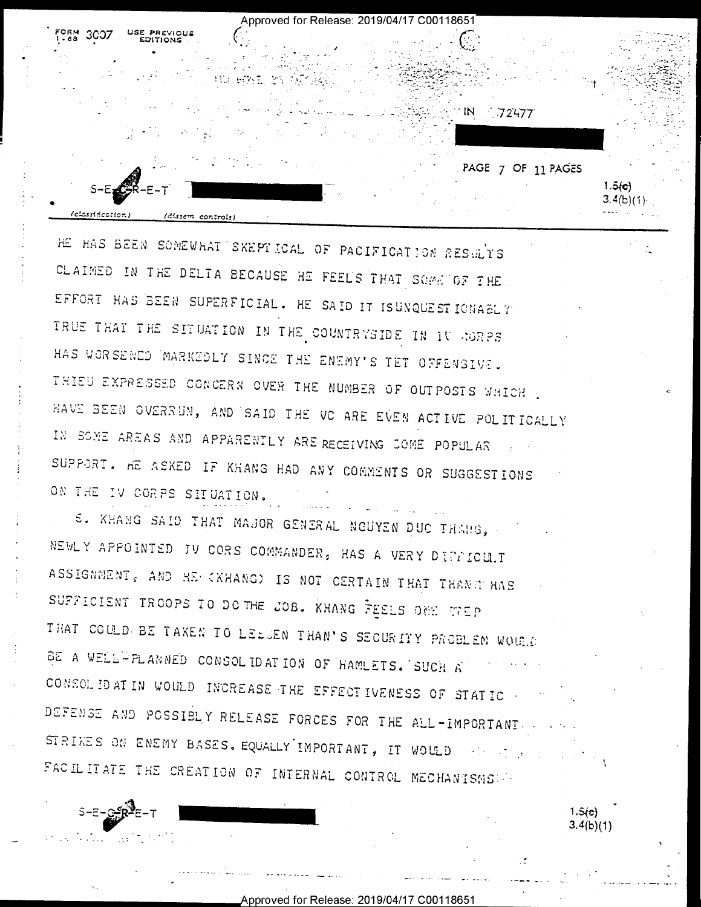Approved for Release: 2019/04/17 C00118651  $\blacksquare$ 72477 PAGE 7 OF 11 PAGES  $1.5(0)$  $3.4(b)(1)$  $\ell$ classification) (dissem controls)

HE HAS BEEN SOMEWHAT SKEPTICAL OF PACIFICATION RESULTS CLAIMED IN THE DELTA BECAUSE HE FEELS THAT SOME OF THE EFFORT HAS BEEN SUPERFICIAL. HE SAID IT ISUNQUESTIONABLY TRUE THAT THE SITUATION IN THE COUNTRYSIDE IN IT AGRES HAS WORSENED MARKEDLY SINCE THE ENEMY'S TET OFFENSIVE. THIEU EXPRESSED CONCERN OVER THE NUMBER OF OUTPOSTS WHICH. HAVE BEEN OVERRUN, AND SAID THE VC ARE EVEN ACTIVE POLITICALLY IN SOME AREAS AND APPARENTLY ARE RECEIVING JOME POPULAR SUPPORT. AE ASKED IF KHANG HAD ANY COMMENTS OR SUGGESTIONS ON THE IV CORPS SITUATION.

S. KHANG SAID THAT MAJOR GENERAL NGUYEN DUC THANG, NEWLY APPOINTED JV CORS COMMANDER, HAS A VERY DIFFICULT ASSIGNMENT, AND HERKHANGD IS NOT CERTAIN THAT THANGENAS SUFFICIENT TROOPS TO DOTHE JOB. KHANG FEELS ONE THEP THAT COULD BE TAKEN TO LEEDEN THAN'S SECURITY PROBLEM WOULD BE A WELL-PLANNED CONSOLIDATION OF HAMLETS. SUCH A CONSOLIDATIN WOULD INCREASE THE EFFECTIVENESS OF STATIC. DEFENSE AND POSSIBLY RELEASE FORCES FOR THE ALL-IMPORTANT. STRIKES ON ENEMY BASES. EQUALLY IMPORTANT, IT WOULD with the sea FACILITATE THE CREATION OF INTERNAL CONTROL MECHANISMS

> $1.5(e)$  $3.4(b)(1)$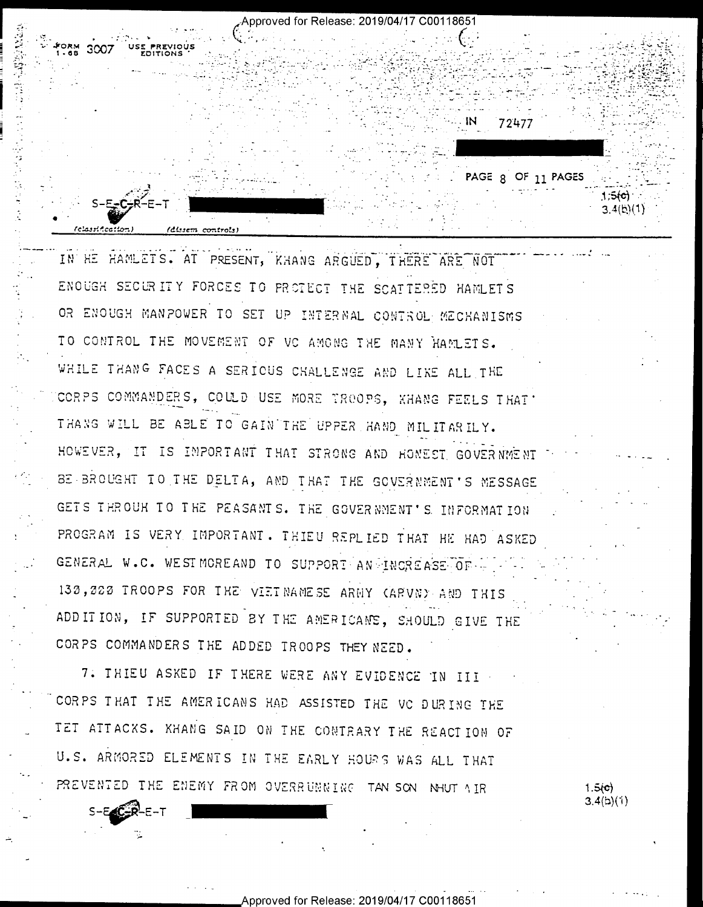Approved for Release: 2019/04/17 C00118651 300 72477 PAGE 8 OF 11 PAGES  $1,5(c)$  $3.4(b)(1)$ (dissem controls)

IN HE HAMLETS. AT PRESENT, KHANG ARGUED, THERE ARE NOT ENOUGH SECURITY FORCES TO PROTECT THE SCATTERED HAMLETS OR ENOUGH MANPOWER TO SET UP INTERNAL CONTROL MECHANISMS TO CONTROL THE MOVEMENT OF VC AMONG THE MANY HAMLETS. WHILE THANG FACES A SERIOUS CHALLENGE AND LIKE ALL THE CORPS COMMANDERS, COULD USE MORE TROOPS, KHANG FEELS THAT THANG WILL BE ABLE TO GAIN THE UPPER HAND MILITARILY. HOWEVER, IT IS IMPORTANT THAT STRONG AND HOMEST GOVERNMENT BE BROUGHT TO THE DELTA, AND THAT THE GOVERNMENT'S MESSAGE GETS THROUH TO THE PEASANTS. THE GOVERNMENT'S INFORMATION PROGRAM IS VERY IMPORTANT. THIEU REPLIED THAT HE HAD ASKED GENERAL W.C. WESTMOREAND TO SUPPORT AN INCREASE OF 130,222 TROOPS FOR THE VIETNAMESE ARMY CARVNY AND THIS ADD IT ION, IF SUPPORTED BY THE AMERICANS, SHOULD GIVE THE CORPS COMMANDERS THE ADDED TROOPS THEY NEED.

7. THIEU ASKED IF THERE WERE ANY EVIDENCE IN III CORPS THAT THE AMERICANS HAD ASSISTED THE VC DURING THE TET ATTACKS. KHANG SAID ON THE CONTRARY THE REACTION OF U.S. ARMORED ELEMENTS IN THE EARLY HOURS WAS ALL THAT PREVENTED THE ENEMY FROM OVERRUNNING TAN SON NHUT AIR

Approved for Release: 2019/04/17 C00118651

 $-E-T$ 

 $1.5(c)$  $3.4(b)(1)$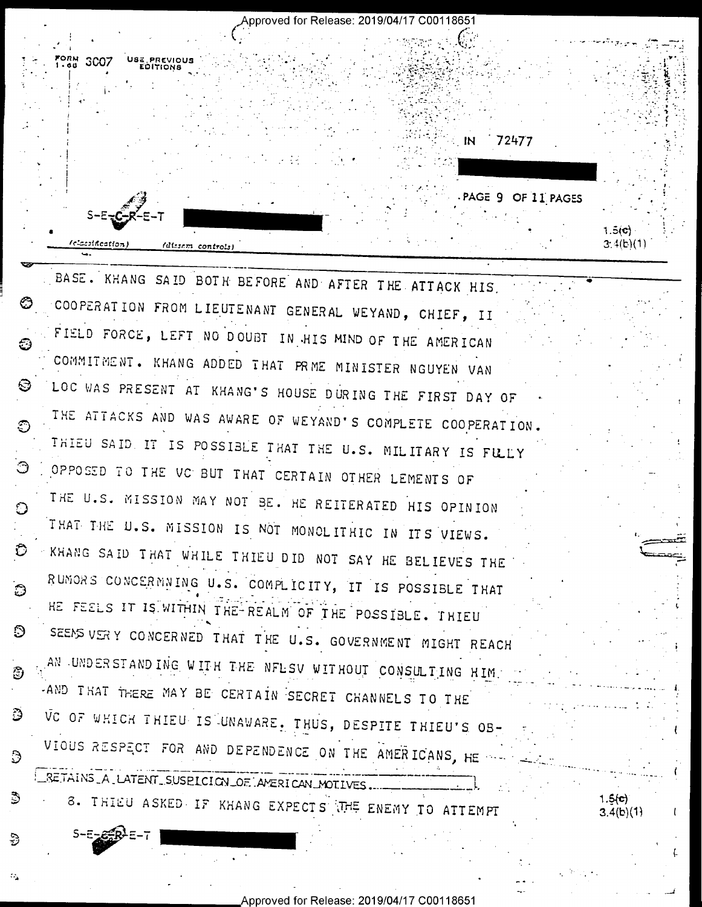USE PREVIOUS  $_{1.40}^{FORM}$  3007

周

తి

Э

పె

e,

 $S-E-EERE=7$ 

Approved for Release: 2019/04/17 C00118651

-PAGE 9 OF 11 PAGES

 $1.5(c)$ 

 $1.5(c)$ 

 $3.4(b)(1)$ 

 $3.4(b)(1)$ 

72477

IN

(classification) (dissem controls)

BASE. KHANG SAID BOTH BEFORE AND AFTER THE ATTACK HIS. COOPERATION FROM LIEUTENANT GENERAL WEYAND, CHIEF, II O FIELD FORCE, LEFT NO DOUBT IN HIS MIND OF THE AMERICAN ි COMMITMENT. KHANG ADDED THAT PRME MINISTER NGUYEN VAN LOC WAS PRESENT AT KHANG'S HOUSE DURING THE FIRST DAY OF O THE ATTACKS AND WAS AWARE OF WEYAND'S COMPLETE COOPERATION. Ð THIEU SAID. IT IS POSSIBLE THAT THE U.S. MILITARY IS FULLY Э OPPOSED TO THE VC BUT THAT CERTAIN OTHER LEMENTS OF THE U.S. MISSION MAY NOT BE. HE REITERATED HIS OPINION O THAT THE U.S. MISSION IS NOT MONOLITHIC IN ITS VIEWS. KHANG SAID THAT WHILE THIEU DID NOT SAY HE BELIEVES THE Ð RUMORS CONCERMNING U.S. COMPLICITY, IT IS POSSIBLE THAT ි HE FEELS IT IS WITHIN THE-REALM OF THE POSSIBLE. THIEU SEEMS VERY CONCERNED THAT THE U.S. GOVERNMENT MIGHT REACH O. AN UNDERSTANDING WITH THE NFLSV WITHOUT CONSULTING HIM. -AND THAT THERE MAY BE CERTAIN SECRET CHANNELS TO THE VC OF WHICH THIEU IS UNAWARE, THUS, DESPITE THIEU'S OB-VIOUS RESPECT FOR AND DEPENDENCE ON THE AMERICANS, HE was RETAINS A LATENT SUSPICION OF AMERICAN MOTIVES...

8. THIEU ASKED IF KHANG EXPECTS THE ENEMY TO ATTEMPT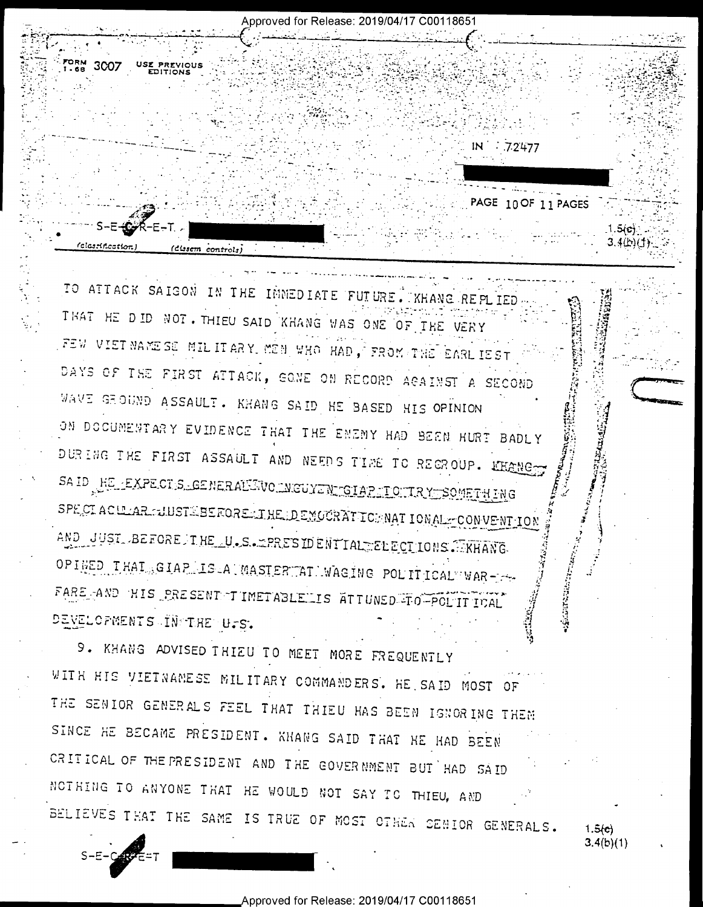Approved for Release: 2019/04/17 C00118651 FORM 3007 USE PREVIOUS IN 72477 PAGE 10 OF 11 PAGES  $1.5(c)$  $3.4(b)(1)$ **Clastification** (Clasem controls)

TO ATTACK SAIGON IN THE INNEDIATE FUTURE. XHANG REPLIED THAT HE DID NOT. THIEU SAID KHANG WAS ONE OF THE VERY FEW VIET NAME SE MIL IT ARY, MEN WHO HAD, FROM THE EARL IEST. DAYS OF THE FIRST ATTACK, GONE ON RECORD AGAINST A SECOND WAVE GROUND ASSAULT. KHANG SAID HE BASED HIS OPINION ON DOCUMENTARY EVIDENCE THAT THE ENEMY HAD BEEN HURT BADLY DURING THE FIRST ASSAULT AND NEEDS TIME TO REGROUP. LEARING SAID HE EXPECTS GENERALINO INGUYINIGIAP TO TRY SOMETHING SPECIACULAR FUNSTESSEROREELINE DEMOCRATICE NATIONAL FCONVENTION AND JUST BEFORE INE U.S. ERRES IDENTIAL ELECTIONS . KHANG OPINED THAT GIAP IS A MASTER AT WAGING POLITICAL WAR-15 FARE AND HIS PRESENT IMETABLELIS ATTUNED TO POLITICAL DEVELOPMENTS IN THE U.S.

9. KHANG ADVISED THIEU TO MEET MORE FREQUENTLY WITH HIS VIETNAMESE MILITARY COMMANDERS. HE SAID MOST OF THE SENIOR GENERALS FEEL THAT THIEU HAS BEEN IGNORING THEM SINCE HE BECAME PRESIDENT. KHANG SAID THAT HE HAD BEEN CRITICAL OF THE PRESIDENT AND THE GOVERNMENT BUT HAD SAID NOTHING TO ANYONE THAT HE WOULD NOT SAY TO THIEU, AND BELIEVES THAT THE SAME IS TRUE OF MOST OTHER SENIOR GENERALS.

 $1.5(e)$  $3.4(b)(1)$